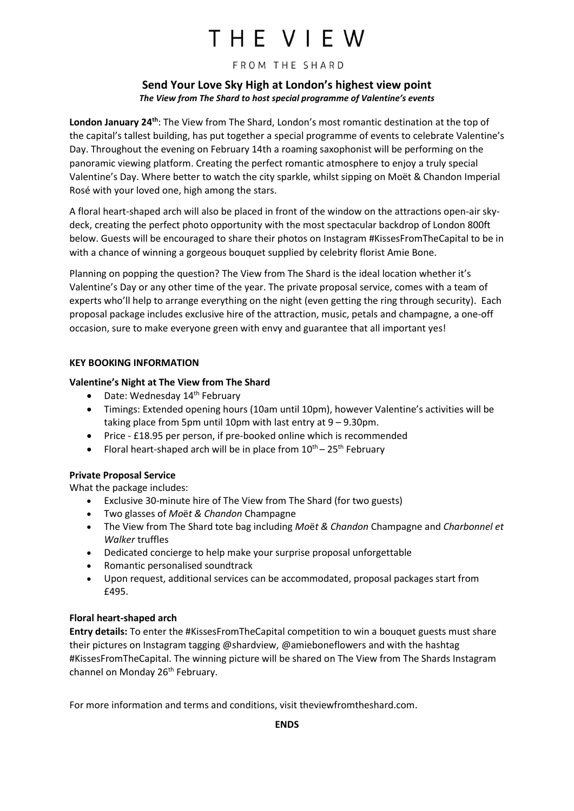# THE VIEW

#### FROM THE SHARD

# **Send Your Love Sky High at London's highest view point**  *The View from The Shard to host special programme of Valentine's events*

London January 24<sup>th</sup>: The View from The Shard, London's most romantic destination at the top of the capital's tallest building, has put together a special programme of events to celebrate Valentine's Day. Throughout the evening on February 14th a roaming saxophonist will be performing on the panoramic viewing platform. Creating the perfect romantic atmosphere to enjoy a truly special Valentine's Day. Where better to watch the city sparkle, whilst sipping on Moët & Chandon Imperial Rosé with your loved one, high among the stars.

A floral heart-shaped arch will also be placed in front of the window on the attractions open-air skydeck, creating the perfect photo opportunity with the most spectacular backdrop of London 800ft below. Guests will be encouraged to share their photos on Instagram #KissesFromTheCapital to be in with a chance of winning a gorgeous bouquet supplied by celebrity florist Amie Bone.

Planning on popping the question? The View from The Shard is the ideal location whether it's Valentine's Day or any other time of the year. The private proposal service, comes with a team of experts who'll help to arrange everything on the night (even getting the ring through security). Each proposal package includes exclusive hire of the attraction, music, petals and champagne, a one-off occasion, sure to make everyone green with envy and guarantee that all important yes!

# **KEY BOOKING INFORMATION**

# **Valentine's Night at The View from The Shard**

- $\bullet$  Date: Wednesday 14<sup>th</sup> February
- Timings: Extended opening hours (10am until 10pm), however Valentine's activities will be taking place from 5pm until 10pm with last entry at 9 – 9.30pm.
- Price £18.95 per person, if pre-booked online which is recommended
- Floral heart-shaped arch will be in place from  $10^{th}$   $25^{th}$  February

# **Private Proposal Service**

What the package includes:

- Exclusive 30-minute hire of The View from The Shard (for two guests)
- Two glasses of *Mo*ë*t & Chandon* Champagne
- The View from The Shard tote bag including *Mo*ë*t & Chandon* Champagne and *Charbonnel et Walker* truffles
- Dedicated concierge to help make your surprise proposal unforgettable
- Romantic personalised soundtrack
- Upon request, additional services can be accommodated, proposal packages start from £495.

#### **Floral heart-shaped arch**

**Entry details:** To enter the #KissesFromTheCapital competition to win a bouquet guests must share their pictures on Instagram tagging @shardview, @amieboneflowers and with the hashtag #KissesFromTheCapital. The winning picture will be shared on The View from The Shards Instagram channel on Monday 26<sup>th</sup> February.

For more information and terms and conditions, visi[t theviewfromtheshard.com.](http://www.theviewfromtheshard.com/)